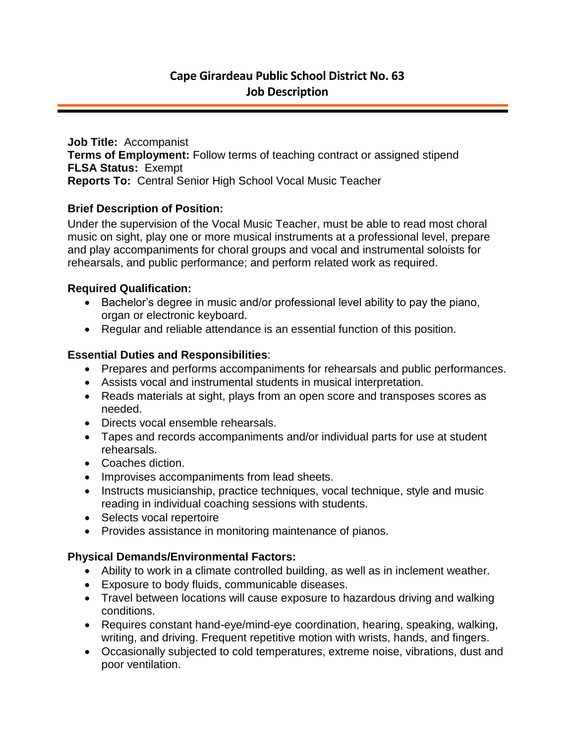**Job Title:** Accompanist **Terms of Employment:** Follow terms of teaching contract or assigned stipend **FLSA Status:** Exempt **Reports To:** Central Senior High School Vocal Music Teacher

## **Brief Description of Position:**

Under the supervision of the Vocal Music Teacher, must be able to read most choral music on sight, play one or more musical instruments at a professional level, prepare and play accompaniments for choral groups and vocal and instrumental soloists for rehearsals, and public performance; and perform related work as required.

## **Required Qualification:**

- Bachelor's degree in music and/or professional level ability to pay the piano, organ or electronic keyboard.
- Regular and reliable attendance is an essential function of this position.

## **Essential Duties and Responsibilities**:

- Prepares and performs accompaniments for rehearsals and public performances.
- Assists vocal and instrumental students in musical interpretation.
- Reads materials at sight, plays from an open score and transposes scores as needed.
- Directs vocal ensemble rehearsals.
- Tapes and records accompaniments and/or individual parts for use at student rehearsals.
- Coaches diction.
- Improvises accompaniments from lead sheets.
- Instructs musicianship, practice techniques, vocal technique, style and music reading in individual coaching sessions with students.
- Selects vocal repertoire
- Provides assistance in monitoring maintenance of pianos.

## **Physical Demands/Environmental Factors:**

- Ability to work in a climate controlled building, as well as in inclement weather.
- Exposure to body fluids, communicable diseases.
- Travel between locations will cause exposure to hazardous driving and walking conditions.
- Requires constant hand-eye/mind-eye coordination, hearing, speaking, walking, writing, and driving. Frequent repetitive motion with wrists, hands, and fingers.
- Occasionally subjected to cold temperatures, extreme noise, vibrations, dust and poor ventilation.